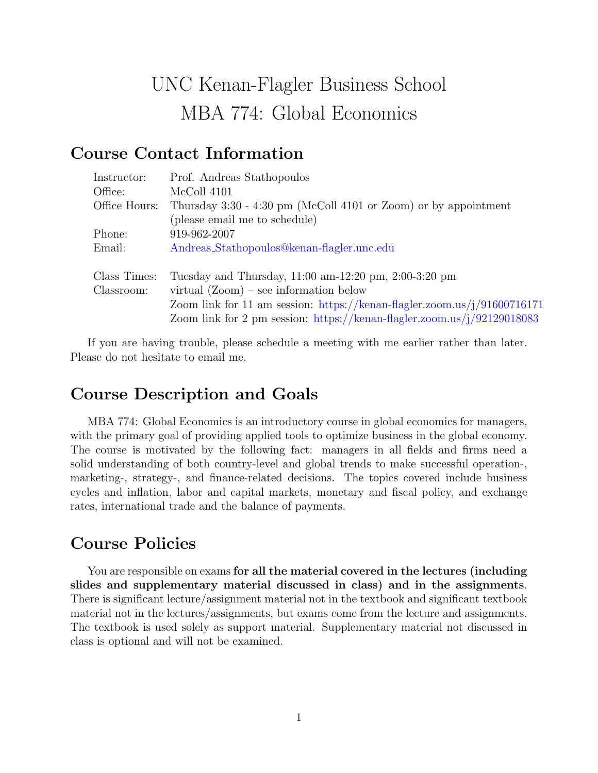# UNC Kenan-Flagler Business School MBA 774: Global Economics

# Course Contact Information

| Instructor:   | Prof. Andreas Stathopoulos                                                      |
|---------------|---------------------------------------------------------------------------------|
| Office:       | McColl 4101                                                                     |
| Office Hours: | Thursday 3:30 - 4:30 pm (McColl 4101 or Zoom) or by appointment                 |
|               | (please email me to schedule)                                                   |
| Phone:        | 919-962-2007                                                                    |
| Email:        | Andreas_Stathopoulos@kenan-flagler.unc.edu                                      |
| Class Times:  | Tuesday and Thursday, $11:00 \text{ am}-12:20 \text{ pm}, 2:00-3:20 \text{ pm}$ |
| Classroom:    | virtual $(Zoom)$ – see information below                                        |
|               | Zoom link for 11 am session: https://kenan-flagler.zoom.us/j/91600716171        |
|               | Zoom link for 2 pm session: https://kenan-flagler.zoom.us/j/92129018083         |

If you are having trouble, please schedule a meeting with me earlier rather than later. Please do not hesitate to email me.

## Course Description and Goals

MBA 774: Global Economics is an introductory course in global economics for managers, with the primary goal of providing applied tools to optimize business in the global economy. The course is motivated by the following fact: managers in all fields and firms need a solid understanding of both country-level and global trends to make successful operation-, marketing-, strategy-, and finance-related decisions. The topics covered include business cycles and inflation, labor and capital markets, monetary and fiscal policy, and exchange rates, international trade and the balance of payments.

# Course Policies

You are responsible on exams for all the material covered in the lectures (including slides and supplementary material discussed in class) and in the assignments. There is significant lecture/assignment material not in the textbook and significant textbook material not in the lectures/assignments, but exams come from the lecture and assignments. The textbook is used solely as support material. Supplementary material not discussed in class is optional and will not be examined.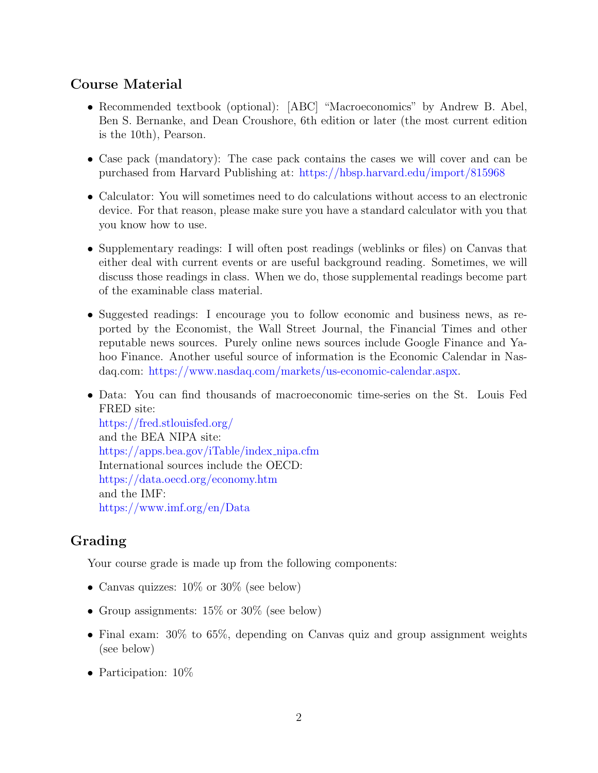#### Course Material

- Recommended textbook (optional): [ABC] "Macroeconomics" by Andrew B. Abel, Ben S. Bernanke, and Dean Croushore, 6th edition or later (the most current edition is the 10th), Pearson.
- Case pack (mandatory): The case pack contains the cases we will cover and can be purchased from Harvard Publishing at: <https://hbsp.harvard.edu/import/815968>
- Calculator: You will sometimes need to do calculations without access to an electronic device. For that reason, please make sure you have a standard calculator with you that you know how to use.
- Supplementary readings: I will often post readings (weblinks or files) on Canvas that either deal with current events or are useful background reading. Sometimes, we will discuss those readings in class. When we do, those supplemental readings become part of the examinable class material.
- Suggested readings: I encourage you to follow economic and business news, as reported by the Economist, the Wall Street Journal, the Financial Times and other reputable news sources. Purely online news sources include Google Finance and Yahoo Finance. Another useful source of information is the Economic Calendar in Nasdaq.com: [https://www.nasdaq.com/markets/us-economic-calendar.aspx.](https://www.nasdaq.com/markets/us-economic-calendar.aspx)
- Data: You can find thousands of macroeconomic time-series on the St. Louis Fed FRED site: <https://fred.stlouisfed.org/>

and the BEA NIPA site: [https://apps.bea.gov/iTable/index](https://apps.bea.gov/iTable/index_nipa.cfm) nipa.cfm International sources include the OECD: <https://data.oecd.org/economy.htm> and the IMF: <https://www.imf.org/en/Data>

## Grading

Your course grade is made up from the following components:

- Canvas quizzes:  $10\%$  or  $30\%$  (see below)
- Group assignments:  $15\%$  or  $30\%$  (see below)
- Final exam: 30% to 65%, depending on Canvas quiz and group assignment weights (see below)
- Participation:  $10\%$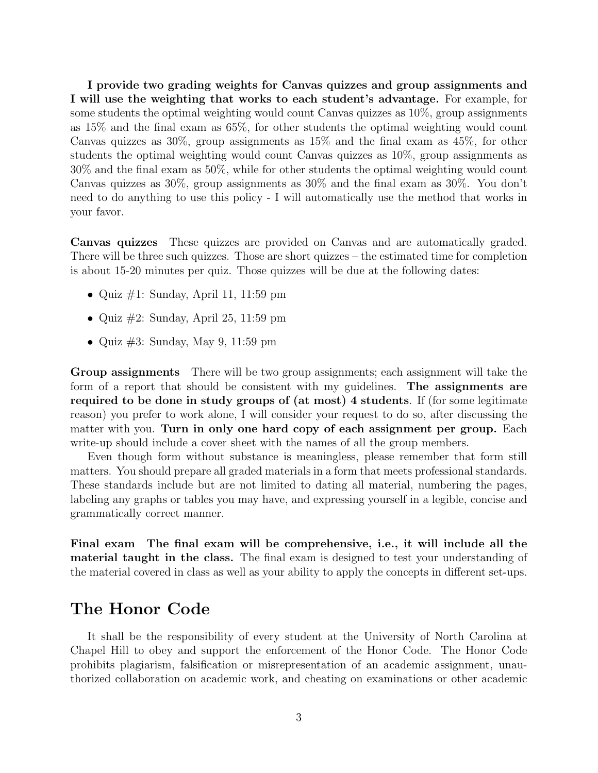I provide two grading weights for Canvas quizzes and group assignments and I will use the weighting that works to each student's advantage. For example, for some students the optimal weighting would count Canvas quizzes as 10%, group assignments as 15% and the final exam as 65%, for other students the optimal weighting would count Canvas quizzes as 30%, group assignments as 15% and the final exam as 45%, for other students the optimal weighting would count Canvas quizzes as 10%, group assignments as 30% and the final exam as 50%, while for other students the optimal weighting would count Canvas quizzes as 30%, group assignments as 30% and the final exam as 30%. You don't need to do anything to use this policy - I will automatically use the method that works in your favor.

Canvas quizzes These quizzes are provided on Canvas and are automatically graded. There will be three such quizzes. Those are short quizzes – the estimated time for completion is about 15-20 minutes per quiz. Those quizzes will be due at the following dates:

- Quiz  $\#1$ : Sunday, April 11, 11:59 pm
- Quiz  $\#2$ : Sunday, April 25, 11:59 pm
- Quiz #3: Sunday, May 9, 11:59 pm

Group assignments There will be two group assignments; each assignment will take the form of a report that should be consistent with my guidelines. The assignments are required to be done in study groups of (at most) 4 students. If (for some legitimate reason) you prefer to work alone, I will consider your request to do so, after discussing the matter with you. Turn in only one hard copy of each assignment per group. Each write-up should include a cover sheet with the names of all the group members.

Even though form without substance is meaningless, please remember that form still matters. You should prepare all graded materials in a form that meets professional standards. These standards include but are not limited to dating all material, numbering the pages, labeling any graphs or tables you may have, and expressing yourself in a legible, concise and grammatically correct manner.

Final exam The final exam will be comprehensive, i.e., it will include all the material taught in the class. The final exam is designed to test your understanding of the material covered in class as well as your ability to apply the concepts in different set-ups.

#### The Honor Code

It shall be the responsibility of every student at the University of North Carolina at Chapel Hill to obey and support the enforcement of the Honor Code. The Honor Code prohibits plagiarism, falsification or misrepresentation of an academic assignment, unauthorized collaboration on academic work, and cheating on examinations or other academic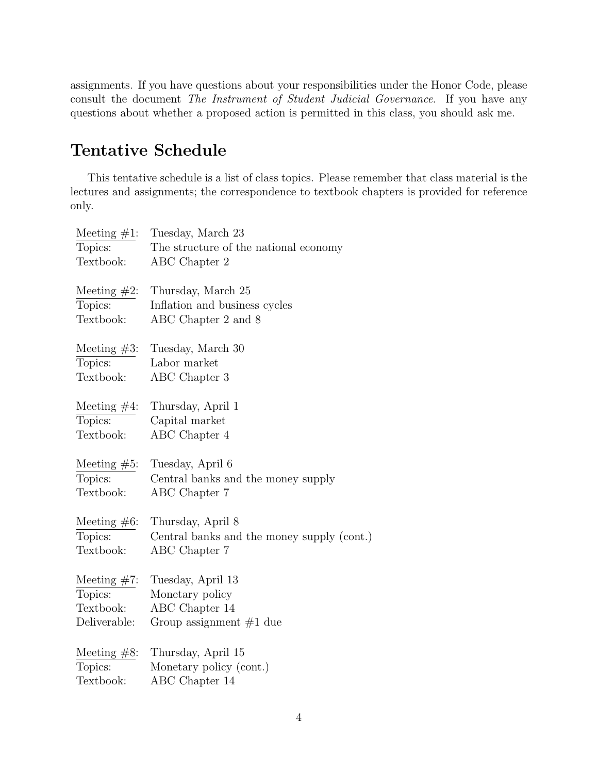assignments. If you have questions about your responsibilities under the Honor Code, please consult the document The Instrument of Student Judicial Governance. If you have any questions about whether a proposed action is permitted in this class, you should ask me.

# Tentative Schedule

This tentative schedule is a list of class topics. Please remember that class material is the lectures and assignments; the correspondence to textbook chapters is provided for reference only.

| Meeting $#1$ : | Tuesday, March 23                          |
|----------------|--------------------------------------------|
| Topics:        | The structure of the national economy      |
| Textbook:      | ABC Chapter 2                              |
| Meeting $#2$ : | Thursday, March 25                         |
| Topics:        | Inflation and business cycles              |
| Textbook:      | ABC Chapter 2 and 8                        |
|                |                                            |
| Meeting $#3$ : | Tuesday, March 30                          |
| Topics:        | Labor market                               |
| Textbook:      | ABC Chapter 3                              |
| Meeting $#4$ : | Thursday, April 1                          |
| Topics:        | Capital market                             |
| Textbook:      | ABC Chapter 4                              |
|                |                                            |
| Meeting $#5$ : | Tuesday, April 6                           |
| Topics:        | Central banks and the money supply         |
| Textbook:      | ABC Chapter 7                              |
| Meeting $#6$ : | Thursday, April 8                          |
| Topics:        | Central banks and the money supply (cont.) |
| Textbook:      | ABC Chapter 7                              |
|                |                                            |
| Meeting $#7$ : | Tuesday, April 13                          |
| Topics:        | Monetary policy                            |
| Textbook:      | ABC Chapter 14                             |
| Deliverable:   | Group assignment $#1$ due                  |
| Meeting $#8$ : | Thursday, April 15                         |
| Topics:        | Monetary policy (cont.)                    |
| Textbook:      | ABC Chapter 14                             |
|                |                                            |